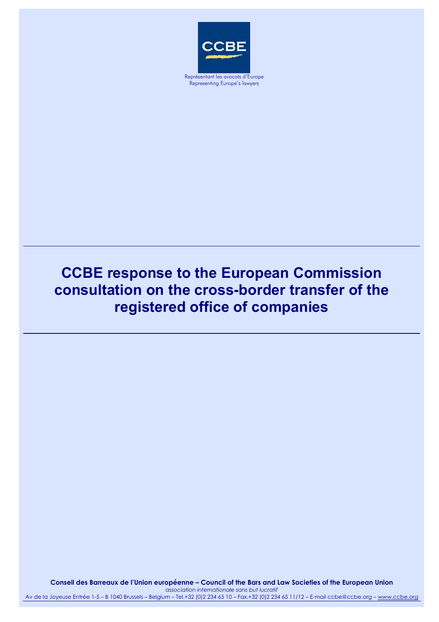

Representing Europe's lawyers

## **CCBE response to the European Commission consultation on the cross-border transfer of the registered office of companies**

**Conseil des Barreaux de l'Union européenne – Council of the Bars and Law Societies of the European Union** 

*association internationale sans but lucratif* Av de la Joyeuse Entrée 1-5 – B 1040 Brussels – Belgium – Tel.+32 (0)2 234 65 10 – Fax.+32 (0)2 234 65 11/12 – E-mail ccbe@ccbe.org – [www.ccbe.org](http://www.ccbe.org/)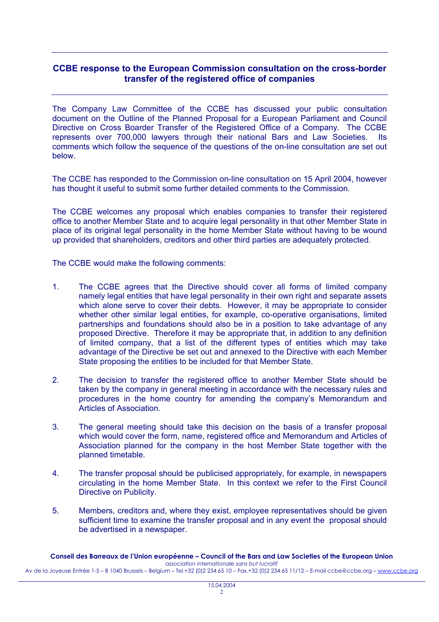## **CCBE response to the European Commission consultation on the cross-border transfer of the registered office of companies**

The Company Law Committee of the CCBE has discussed your public consultation document on the Outline of the Planned Proposal for a European Parliament and Council Directive on Cross Boarder Transfer of the Registered Office of a Company. The CCBE represents over 700,000 lawyers through their national Bars and Law Societies. Its comments which follow the sequence of the questions of the on-line consultation are set out below.

The CCBE has responded to the Commission on-line consultation on 15 April 2004, however has thought it useful to submit some further detailed comments to the Commission.

The CCBE welcomes any proposal which enables companies to transfer their registered office to another Member State and to acquire legal personality in that other Member State in place of its original legal personality in the home Member State without having to be wound up provided that shareholders, creditors and other third parties are adequately protected.

The CCBE would make the following comments:

- 1. The CCBE agrees that the Directive should cover all forms of limited company namely legal entities that have legal personality in their own right and separate assets which alone serve to cover their debts. However, it may be appropriate to consider whether other similar legal entities, for example, co-operative organisations, limited partnerships and foundations should also be in a position to take advantage of any proposed Directive. Therefore it may be appropriate that, in addition to any definition of limited company, that a list of the different types of entities which may take advantage of the Directive be set out and annexed to the Directive with each Member State proposing the entities to be included for that Member State.
- 2. The decision to transfer the registered office to another Member State should be taken by the company in general meeting in accordance with the necessary rules and procedures in the home country for amending the company's Memorandum and Articles of Association.
- 3. The general meeting should take this decision on the basis of a transfer proposal which would cover the form, name, registered office and Memorandum and Articles of Association planned for the company in the host Member State together with the planned timetable.
- 4. The transfer proposal should be publicised appropriately, for example, in newspapers circulating in the home Member State. In this context we refer to the First Council Directive on Publicity.
- 5. Members, creditors and, where they exist, employee representatives should be given sufficient time to examine the transfer proposal and in any event the proposal should be advertised in a newspaper.

**Conseil des Barreaux de l'Union européenne – Council of the Bars and Law Societies of the European Union**  *association internationale sans but lucratif* Av de la Joyeuse Entrée 1-5 – B 1040 Brussels – Belgium – Tel.+32 (0)2 234 65 10 – Fax.+32 (0)2 234 65 11/12 – E-mail ccbe@ccbe.org – www.ccbe.org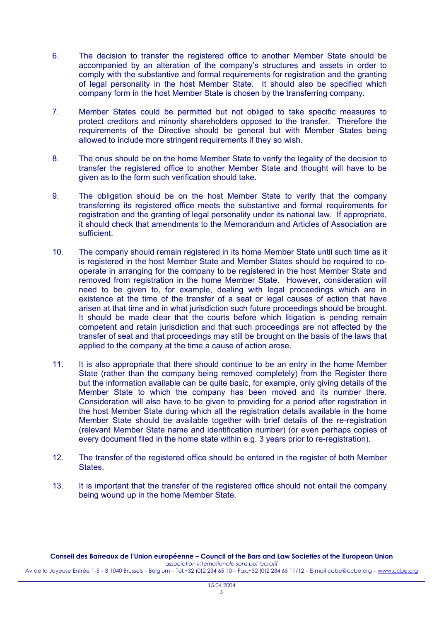- 6. The decision to transfer the registered office to another Member State should be accompanied by an alteration of the company's structures and assets in order to comply with the substantive and formal requirements for registration and the granting of legal personality in the host Member State. It should also be specified which company form in the host Member State is chosen by the transferring company.
- 7. Member States could be permitted but not obliged to take specific measures to protect creditors and minority shareholders opposed to the transfer. Therefore the requirements of the Directive should be general but with Member States being allowed to include more stringent requirements if they so wish.
- 8. The onus should be on the home Member State to verify the legality of the decision to transfer the registered office to another Member State and thought will have to be given as to the form such verification should take.
- 9. The obligation should be on the host Member State to verify that the company transferring its registered office meets the substantive and formal requirements for registration and the granting of legal personality under its national law. If appropriate, it should check that amendments to the Memorandum and Articles of Association are sufficient.
- 10. The company should remain registered in its home Member State until such time as it is registered in the host Member State and Member States should be required to cooperate in arranging for the company to be registered in the host Member State and removed from registration in the home Member State. However, consideration will need to be given to, for example, dealing with legal proceedings which are in existence at the time of the transfer of a seat or legal causes of action that have arisen at that time and in what jurisdiction such future proceedings should be brought. It should be made clear that the courts before which litigation is pending remain competent and retain jurisdiction and that such proceedings are not affected by the transfer of seat and that proceedings may still be brought on the basis of the laws that applied to the company at the time a cause of action arose.
- 11. It is also appropriate that there should continue to be an entry in the home Member State (rather than the company being removed completely) from the Register there but the information available can be quite basic, for example, only giving details of the Member State to which the company has been moved and its number there. Consideration will also have to be given to providing for a period after registration in the host Member State during which all the registration details available in the home Member State should be available together with brief details of the re-registration (relevant Member State name and identification number) (or even perhaps copies of every document filed in the home state within e.g. 3 years prior to re-registration).
- 12. The transfer of the registered office should be entered in the register of both Member **States**
- 13. It is important that the transfer of the registered office should not entail the company being wound up in the home Member State.

**Conseil des Barreaux de l'Union européenne – Council of the Bars and Law Societies of the European Union**  *association internationale sans but lucratif*

Av de la Joyeuse Entrée 1-5 – B 1040 Brussels – Belgium – Tel.+32 (0)2 234 65 10 – Fax.+32 (0)2 234 65 11/12 – E-mail ccbe@ccbe.org – www.ccbe.org